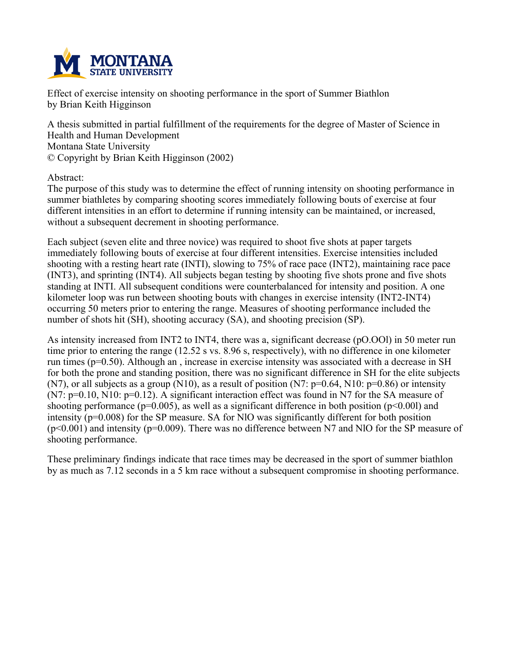

**Effect of exercise intensity on shooting performance in the sport of Summer Biathlon by Brian Keith Higginson**

**A thesis submitted in partial fulfillment of the requirements for the degree of Master of Science in Health and Human Development Montana State University © Copyright by Brian Keith Higginson (2002)**

**Abstract:**

**The purpose of this study was to determine the effect of running intensity on shooting performance in summer biathletes by comparing shooting scores immediately following bouts of exercise at four different intensities in an effort to determine if running intensity can be maintained, or increased, without a subsequent decrement in shooting performance.**

**Each subject (seven elite and three novice) was required to shoot five shots at paper targets immediately following bouts of exercise at four different intensities. Exercise intensities included shooting with a resting heart rate (INTI), slowing to 75% of race pace (INT2), maintaining race pace (INT3), and sprinting (INT4). All subjects began testing by shooting five shots prone and five shots standing at INTI. All subsequent conditions were counterbalanced for intensity and position. A one kilometer loop was run between shooting bouts with changes in exercise intensity (INT2-INT4) occurring 50 meters prior to entering the range. Measures of shooting performance included the number of shots hit (SH), shooting accuracy (SA), and shooting precision (SP).**

**As intensity increased from INT2 to INT4, there was a, significant decrease (pO.OOl) in 50 meter run** time prior to entering the range (12.52 s vs. 8.96 s, respectively), with no difference in one kilometer **run times (p=0.50). Although an , increase in exercise intensity was associated with a decrease in SH** for both the prone and standing position, there was no significant difference in SH for the elite subjects  $(N7)$ , or all subjects as a group (N10), as a result of position (N7: p=0.64, N10: p=0.86) or intensity **(N7: p=0.10, N10: p=0.12). A significant interaction effect was found in N7 for the SA measure of shooting performance (p=0.005), as well as a significant difference in both position (p<0.00l) and intensity (p=0.008) for the SP measure. SA for NlO was significantly different for both position (p<0.001) and intensity (p=0.009). There was no difference between N7 and NlO for the SP measure of shooting performance.**

**These preliminary findings indicate that race times may be decreased in the sport of summer biathlon** by as much as 7.12 seconds in a 5 km race without a subsequent compromise in shooting performance.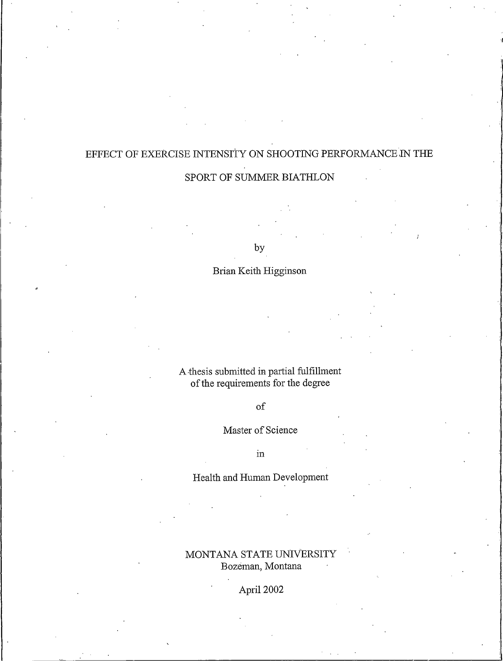# EFFECT OF EXERCISE INTENSITY ON SHOOTING PERFORMANCE IN THE SPORT OF SUMMER BIATHLON

by

# Brian Keith Higginson

A thesis submitted in partial fulfillment of the requirements for the degree

# $\sigma$ f

# Master of Science

 $in$ 

# Health and Human Development

# MONTANA STATE UNIVERSITY Bozeman, Montana

April 2002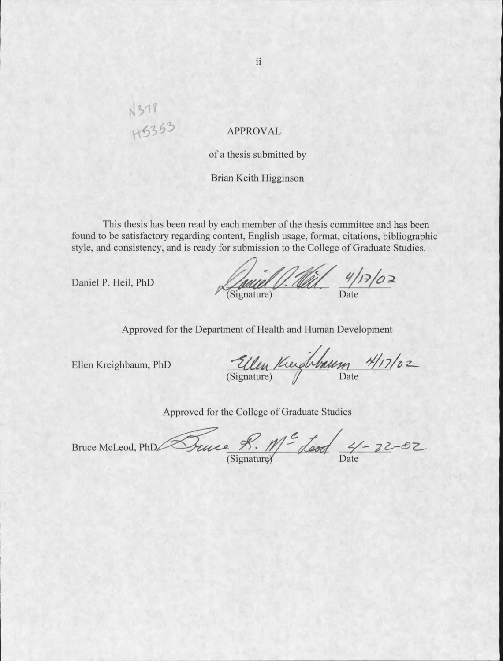# N378<br>H5353

# **APPROVAL**

of a thesis submitted by

# Brian Keith Higginson

This thesis has been read by each member of the thesis committee and has been found to be satisfactory regarding content, English usage, format, citations, bibliographic style, and consistency, and is ready for submission to the College of Graduate Studies.

Daniel P. Heil, PhD

Jouel V. Wil 4/17/02

Approved for the Department of Health and Human Development

Ellen Kreighbaum, PhD

Ellen Kerghbaum 4/17/02

Approved for the College of Graduate Studies

Suice R. Me Leod 4-22-02 Bruce McLeod, PhDZ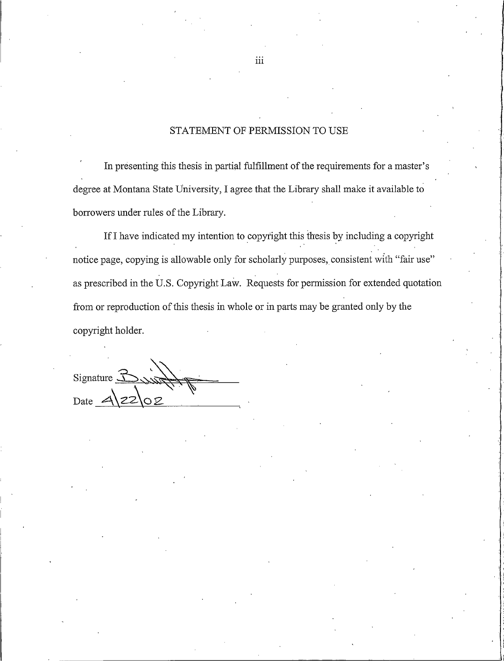# STATEMENT OF PERMISSION TO USE

In presenting this thesis in partial fulfillment of the requirements for a master's degree at Montana State University, I agree that the Library shall make it available to borrowers under rules of the Library.

If I have indicated my intention to copyright this thesis by including a copyright notice page, copying is allowable only for scholarly purposes, consistent with "fair use" as prescribed in the U.S. Copyright Law. Requests for permission for extended quotation from or reproduction of this thesis in whole or in parts may be granted only by the copyright holder.

Signature  $\widetilde{\mathcal{L}}$ Date

iii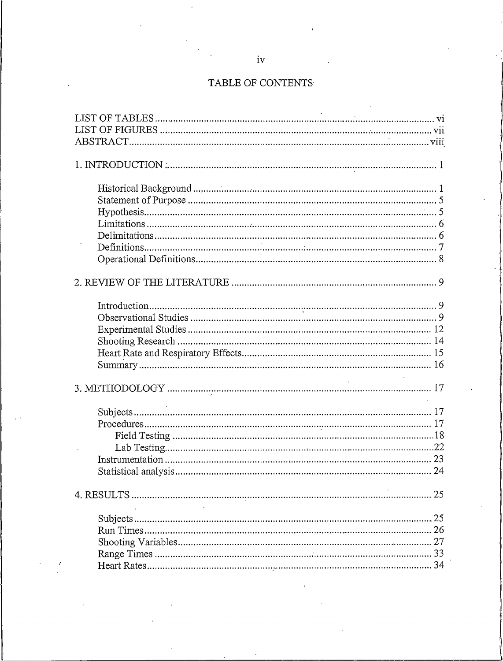# TABLE OF CONTENTS

| $\mathcal{L}^{\text{max}}_{\text{max}}$ and $\mathcal{L}^{\text{max}}_{\text{max}}$ |
|-------------------------------------------------------------------------------------|
|                                                                                     |
|                                                                                     |
|                                                                                     |
|                                                                                     |
|                                                                                     |
|                                                                                     |
|                                                                                     |
|                                                                                     |
|                                                                                     |
|                                                                                     |
|                                                                                     |
| 25                                                                                  |
|                                                                                     |
|                                                                                     |
|                                                                                     |
|                                                                                     |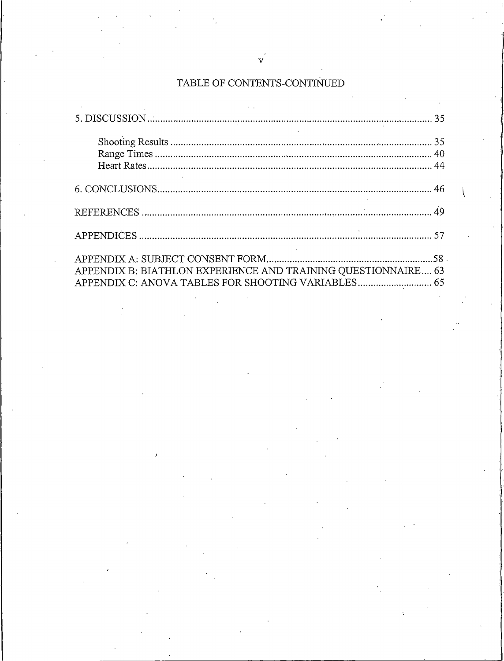# TABLE OF CONTENTS-CONTINUED

| APPENDIX B: BIATHLON EXPERIENCE AND TRAINING QUESTIONNAIRE 63 |  |
|---------------------------------------------------------------|--|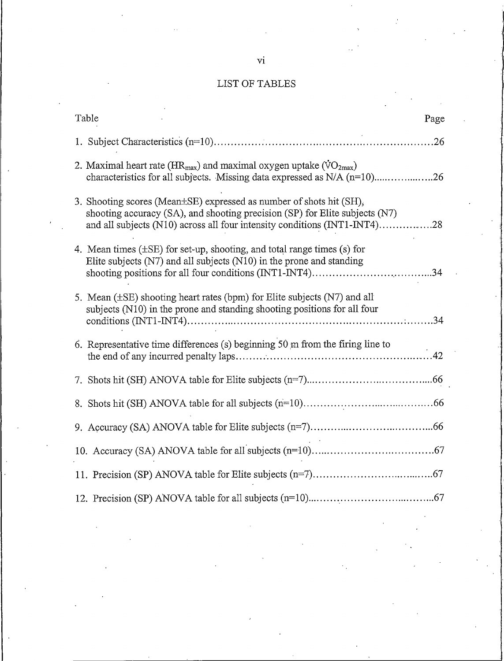# LIST OF TABLES

| Table                                                                                                                                                                                                                           | Page |
|---------------------------------------------------------------------------------------------------------------------------------------------------------------------------------------------------------------------------------|------|
|                                                                                                                                                                                                                                 |      |
| 2. Maximal heart rate ( $HR_{max}$ ) and maximal oxygen uptake ( $VO_{2max}$ )<br>characteristics for all subjects. Missing data expressed as N/A (n=10)26                                                                      |      |
| 3. Shooting scores (Mean±SE) expressed as number of shots hit (SH),<br>shooting accuracy (SA), and shooting precision (SP) for Elite subjects (N7)<br>and all subjects (N10) across all four intensity conditions (INT1-INT4)28 |      |
| 4. Mean times $(\pm SE)$ for set-up, shooting, and total range times (s) for<br>Elite subjects $(N7)$ and all subjects $(N10)$ in the prone and standing                                                                        |      |
| 5. Mean $(\pm SE)$ shooting heart rates (bpm) for Elite subjects (N7) and all<br>subjects (N10) in the prone and standing shooting positions for all four                                                                       |      |
| 6. Representative time differences (s) beginning $50 \text{ m}$ from the firing line to                                                                                                                                         |      |
|                                                                                                                                                                                                                                 |      |
|                                                                                                                                                                                                                                 |      |
|                                                                                                                                                                                                                                 |      |
|                                                                                                                                                                                                                                 |      |
|                                                                                                                                                                                                                                 |      |
|                                                                                                                                                                                                                                 |      |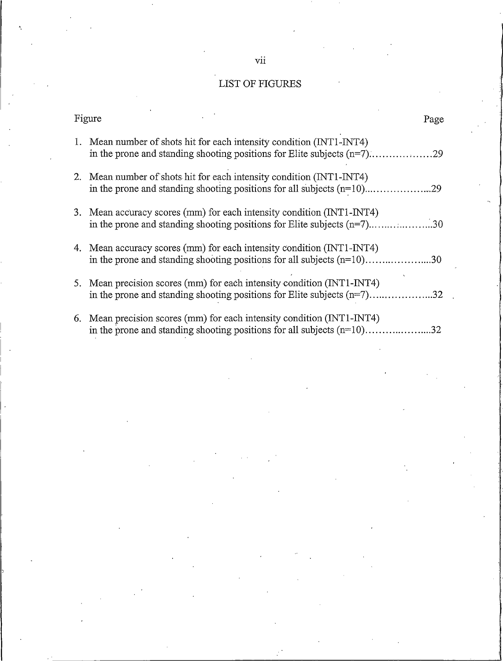# LIST OF FIGURES

| Figure<br>Page                                                                                                                                         |  |
|--------------------------------------------------------------------------------------------------------------------------------------------------------|--|
| 1. Mean number of shots hit for each intensity condition (INT1-INT4)                                                                                   |  |
| 2. Mean number of shots hit for each intensity condition (INT1-INT4)                                                                                   |  |
| 3. Mean accuracy scores (mm) for each intensity condition (INT1-INT4)<br>in the prone and standing shooting positions for Elite subjects $(n=7)$ 30    |  |
| 4. Mean accuracy scores (mm) for each intensity condition (INT1-INT4)<br>in the prone and standing shooting positions for all subjects $(n=10)$ 30     |  |
| 5. Mean precision scores (mm) for each intensity condition (INT1-INT4)<br>in the prone and standing shooting positions for Elite subjects (n=7)32      |  |
| 6. Mean precision scores (mm) for each intensity condition (INT1-INT4)<br>in the prone and standing shooting positions for all subjects $(n=10)$<br>32 |  |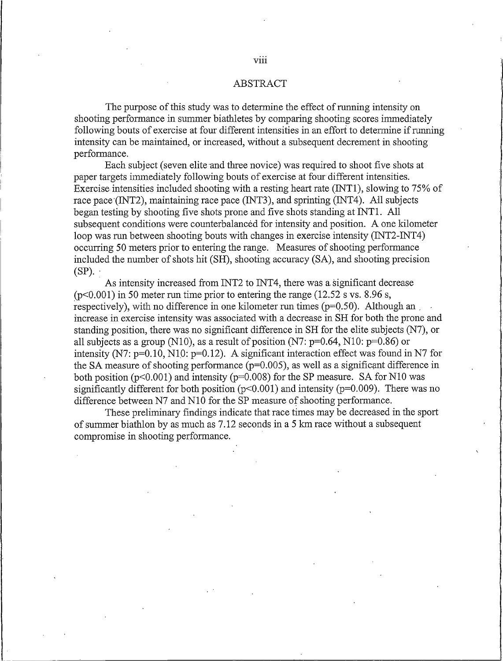### **ABSTRACT**

The purpose of this study was to determine the effect of running intensity on shooting performance in summer biathletes by comparing shooting scores immediately following bouts of exercise at four different intensities in an effort to determine if running intensity can be maintained, or increased, without a subsequent decrement in shooting performance.

Each subject (seven elite and three novice) was required to shoot five shots at paper targets immediately following bouts of exercise at four different intensities. Exercise intensities included shooting with a resting heart rate (INT1), slowing to 75% of race pace (INT2), maintaining race pace (INT3), and sprinting (INT4). All subjects began testing by shooting five shots prone and five shots standing at INT1. All subsequent conditions were counterbalanced for intensity and position. A one kilometer loop was run between shooting bouts with changes in exercise intensity (INT2-INT4) occurring 50 meters prior to entering the range. Measures of shooting performance included the number of shots hit (SH), shooting accuracy (SA), and shooting precision  $(SP)$ .

As intensity increased from INT2 to INT4, there was a significant decrease  $(p<0.001)$  in 50 meter run time prior to entering the range (12.52 s vs. 8.96 s, respectively), with no difference in one kilometer run times ( $p=0.50$ ). Although an increase in exercise intensity was associated with a decrease in SH for both the prone and standing position, there was no significant difference in SH for the elite subjects (N7), or all subjects as a group (N10), as a result of position (N7:  $p=0.64$ , N10:  $p=0.86$ ) or intensity (N7:  $p=0.10$ , N10:  $p=0.12$ ). A significant interaction effect was found in N7 for the SA measure of shooting performance ( $p=0.005$ ), as well as a significant difference in both position ( $p<0.001$ ) and intensity ( $p=0.008$ ) for the SP measure. SA for N10 was significantly different for both position ( $p<0.001$ ) and intensity ( $p=0.009$ ). There was no difference between N7 and N10 for the SP measure of shooting performance.

These preliminary findings indicate that race times may be decreased in the sport of summer biathlon by as much as 7.12 seconds in a 5 km race without a subsequent compromise in shooting performance.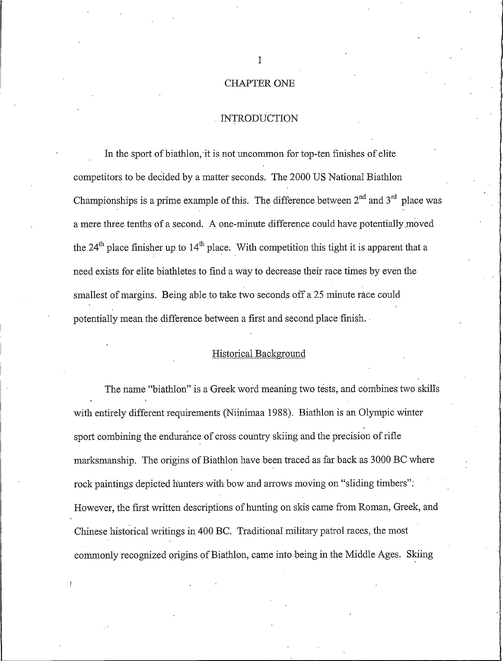# **CHAPTER ONE**

#### **INTRODUCTION**

In the sport of biathlon, it is not uncommon for top-ten finishes of elite competitors to be decided by a matter seconds. The 2000 US National Biathlon Championships is a prime example of this. The difference between  $2^{nd}$  and  $3^{rd}$  place was a mere three tenths of a second. A one-minute difference could have potentially moved the  $24<sup>th</sup>$  place finisher up to  $14<sup>th</sup>$  place. With competition this tight it is apparent that a need exists for elite biathletes to find a way to decrease their race times by even the smallest of margins. Being able to take two seconds off a 25 minute race could potentially mean the difference between a first and second place finish.

# Historical Background

The name "biathlon" is a Greek word meaning two tests, and combines two skills with entirely different requirements (Niinimaa 1988). Biathlon is an Olympic winter sport combining the endurance of cross country skiing and the precision of rifle marksmanship. The origins of Biathlon have been traced as far back as 3000 BC where rock paintings depicted hunters with bow and arrows moving on "sliding timbers". However, the first written descriptions of hunting on skis came from Roman, Greek, and Chinese historical writings in 400 BC. Traditional military patrol races, the most commonly recognized origins of Biathlon, came into being in the Middle Ages. Skiing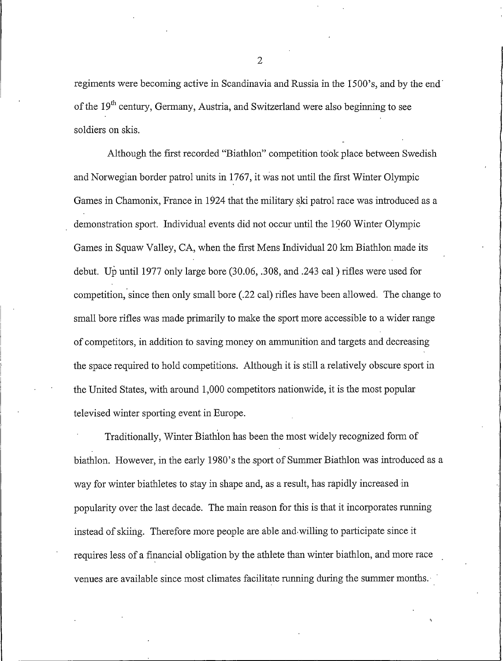regiments were becoming active in Scandinavia and Russia in the 1500's, and by the end of the 19<sup>th</sup> century, Germany, Austria, and Switzerland were also beginning to see soldiers on skis.

Although the first recorded "Biathlon" competition took place between Swedish and Norwegian border patrol units in 1767, it was not until the first Winter Olympic Games in Chamonix, France in 1924 that the military ski patrol race was introduced as a demonstration sport. Individual events did not occur until the 1960 Winter Olympic Games in Squaw Valley, CA, when the first Mens Individual 20 km Biathlon made its debut. Up until 1977 only large bore (30.06, .308, and .243 cal) rifles were used for competition, since then only small bore (.22 cal) rifles have been allowed. The change to small bore rifles was made primarily to make the sport more accessible to a wider range of competitors, in addition to saving money on ammunition and targets and decreasing the space required to hold competitions. Although it is still a relatively obscure sport in the United States, with around 1,000 competitors nationwide, it is the most popular televised winter sporting event in Europe.

Traditionally, Winter Biathlon has been the most widely recognized form of biathlon. However, in the early 1980's the sport of Summer Biathlon was introduced as a way for winter biathletes to stay in shape and, as a result, has rapidly increased in popularity over the last decade. The main reason for this is that it incorporates running instead of skiing. Therefore more people are able and willing to participate since it requires less of a financial obligation by the athlete than winter biathlon, and more race venues are available since most climates facilitate running during the summer months.

 $\overline{2}$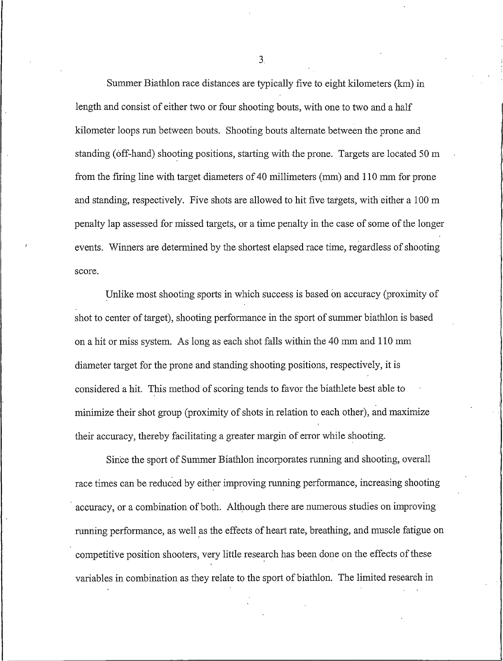Summer Biathlon race distances are typically five to eight kilometers (km) in length and consist of either two or four shooting bouts, with one to two and a half kilometer loops run between bouts. Shooting bouts alternate between the prone and standing (off-hand) shooting positions, starting with the prone. Targets are located 50 m from the firing line with target diameters of 40 millimeters (mm) and 110 mm for prone and standing, respectively. Five shots are allowed to hit five targets, with either a 100 m penalty lap assessed for missed targets, or a time penalty in the case of some of the longer events. Winners are determined by the shortest elapsed race time, regardless of shooting score.

Unlike most shooting sports in which success is based on accuracy (proximity of shot to center of target), shooting performance in the sport of summer biathlon is based on a hit or miss system. As long as each shot falls within the 40 mm and 110 mm diameter target for the prone and standing shooting positions, respectively, it is considered a hit. This method of scoring tends to favor the biathlete best able to minimize their shot group (proximity of shots in relation to each other), and maximize their accuracy, thereby facilitating a greater margin of error while shooting.

Since the sport of Summer Biathlon incorporates running and shooting, overall race times can be reduced by either improving running performance, increasing shooting accuracy, or a combination of both. Although there are numerous studies on improving running performance, as well as the effects of heart rate, breathing, and muscle fatigue on competitive position shooters, very little research has been done on the effects of these variables in combination as they relate to the sport of biathlon. The limited research in

 $3<sub>1</sub>$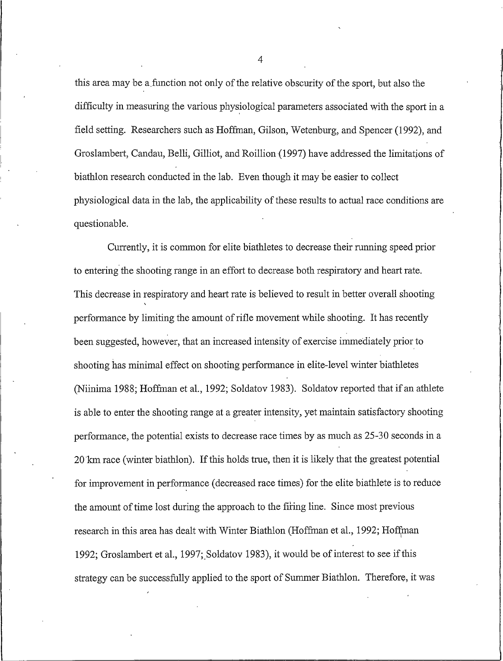this area may be a function not only of the relative obscurity of the sport, but also the difficulty in measuring the various physiological parameters associated with the sport in a field setting. Researchers such as Hoffman, Gilson, Wetenburg, and Spencer (1992), and Groslambert, Candau, Belli, Gilliot, and Roillion (1997) have addressed the limitations of biathlon research conducted in the lab. Even though it may be easier to collect physiological data in the lab, the applicability of these results to actual race conditions are questionable.

Currently, it is common for elite biathletes to decrease their running speed prior to entering the shooting range in an effort to decrease both respiratory and heart rate. This decrease in respiratory and heart rate is believed to result in better overall shooting performance by limiting the amount of rifle movement while shooting. It has recently been suggested, however, that an increased intensity of exercise immediately prior to shooting has minimal effect on shooting performance in elite-level winter biathletes (Niinima 1988; Hoffman et al., 1992; Soldatov 1983). Soldatov reported that if an athlete is able to enter the shooting range at a greater intensity, yet maintain satisfactory shooting performance, the potential exists to decrease race times by as much as 25-30 seconds in a 20 km race (winter biathlon). If this holds true, then it is likely that the greatest potential for improvement in performance (decreased race times) for the elite biathlete is to reduce the amount of time lost during the approach to the firing line. Since most previous research in this area has dealt with Winter Biathlon (Hoffman et al., 1992; Hoffman 1992; Groslambert et al., 1997; Soldatov 1983), it would be of interest to see if this strategy can be successfully applied to the sport of Summer Biathlon. Therefore, it was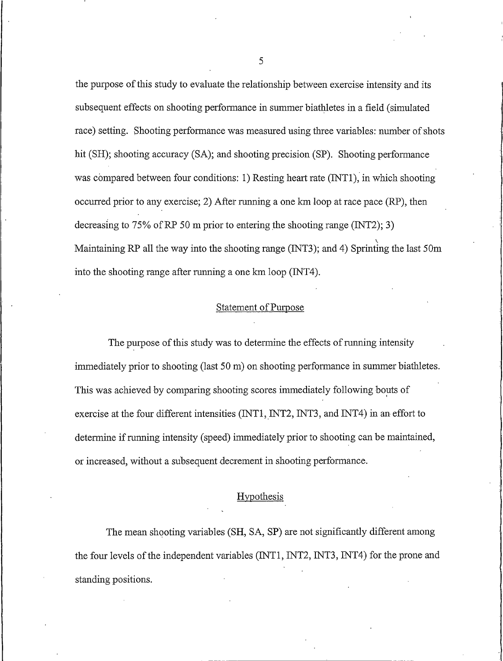the purpose of this study to evaluate the relationship between exercise intensity and its subsequent effects on shooting performance in summer biathletes in a field (simulated) race) setting. Shooting performance was measured using three variables: number of shots hit (SH); shooting accuracy (SA); and shooting precision (SP). Shooting performance was compared between four conditions: 1) Resting heart rate (INT1), in which shooting occurred prior to any exercise; 2) After running a one km loop at race pace (RP), then decreasing to 75% of RP 50 m prior to entering the shooting range (INT2); 3) Maintaining RP all the way into the shooting range (INT3); and 4) Sprinting the last 50m into the shooting range after running a one km loop (INT4).

### **Statement of Purpose**

The purpose of this study was to determine the effects of running intensity immediately prior to shooting (last 50 m) on shooting performance in summer biathletes. This was achieved by comparing shooting scores immediately following bouts of exercise at the four different intensities (INT1, INT2, INT3, and INT4) in an effort to determine if running intensity (speed) immediately prior to shooting can be maintained, or increased, without a subsequent decrement in shooting performance.

# Hypothesis

The mean shooting variables (SH, SA, SP) are not significantly different among the four levels of the independent variables (INT1, INT2, INT3, INT4) for the prone and standing positions.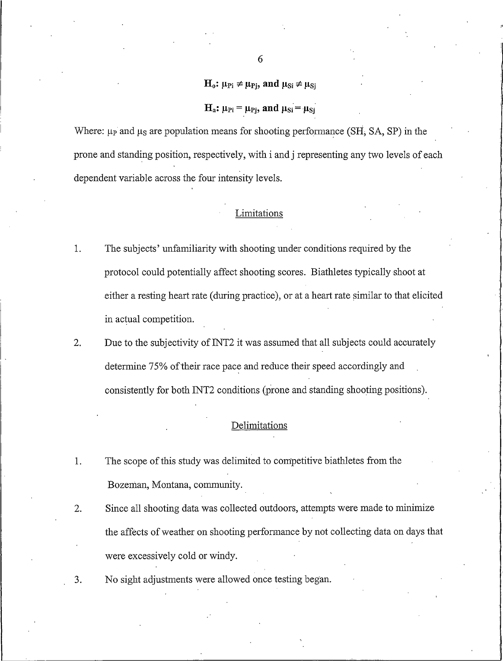# $H_0: \mu_{\text{Pi}} \neq \mu_{\text{Pi}}$ , and  $\mu_{\text{Si}} \neq \mu_{\text{Si}}$

# $H_a$ :  $\mu_{\text{Pi}} = \mu_{\text{Pi}}$ , and  $\mu_{\text{Si}} = \mu_{\text{Si}}$

Where:  $\mu_{P}$  and  $\mu_{S}$  are population means for shooting performance (SH, SA, SP) in the prone and standing position, respectively, with i and j representing any two levels of each dependent variable across the four intensity levels.

## Limitations

- 1. The subjects' unfamiliarity with shooting under conditions required by the protocol could potentially affect shooting scores. Biathletes typically shoot at either a resting heart rate (during practice), or at a heart rate similar to that elicited in actual competition.
- 2. Due to the subjectivity of INT2 it was assumed that all subjects could accurately determine 75% of their race pace and reduce their speed accordingly and consistently for both INT2 conditions (prone and standing shooting positions).

# Delimitations

- 1. The scope of this study was delimited to competitive biathletes from the Bozeman, Montana, community.
- Since all shooting data was collected outdoors, attempts were made to minimize  $2.$ the affects of weather on shooting performance by not collecting data on days that were excessively cold or windy.
- No sight adjustments were allowed once testing began.  $3.$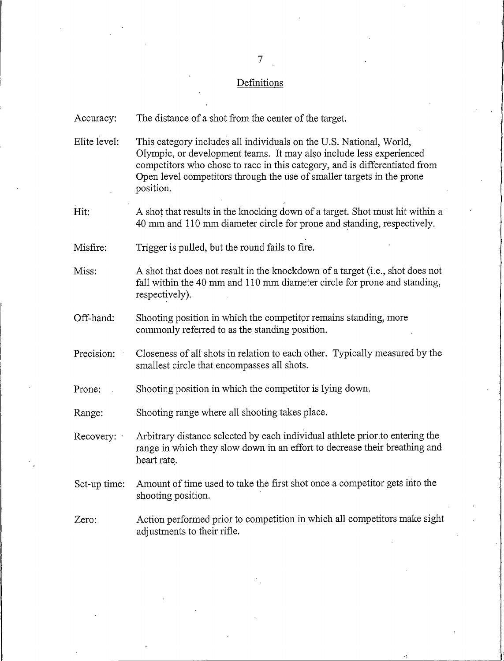## Definitions

The distance of a shot from the center of the target. Accuracy:

Elite level: This category includes all individuals on the U.S. National, World, Olympic, or development teams. It may also include less experienced competitors who chose to race in this category, and is differentiated from Open level competitors through the use of smaller targets in the prone position.

Hit: A shot that results in the knocking down of a target. Shot must hit within a 40 mm and 110 mm diameter circle for prone and standing, respectively.

Misfire: Trigger is pulled, but the round fails to fire.

A shot that does not result in the knockdown of a target (i.e., shot does not Miss: fall within the 40 mm and 110 mm diameter circle for prone and standing, respectively).

Off-hand: Shooting position in which the competitor remains standing, more commonly referred to as the standing position.

Precision: Closeness of all shots in relation to each other. Typically measured by the smallest circle that encompasses all shots.

Prone: Shooting position in which the competitor is lying down.

Shooting range where all shooting takes place. Range:

Arbitrary distance selected by each individual athlete prior to entering the Recovery: range in which they slow down in an effort to decrease their breathing and heart rate.

Amount of time used to take the first shot once a competitor gets into the Set-up time: shooting position.

Zero: Action performed prior to competition in which all competitors make sight adjustments to their rifle.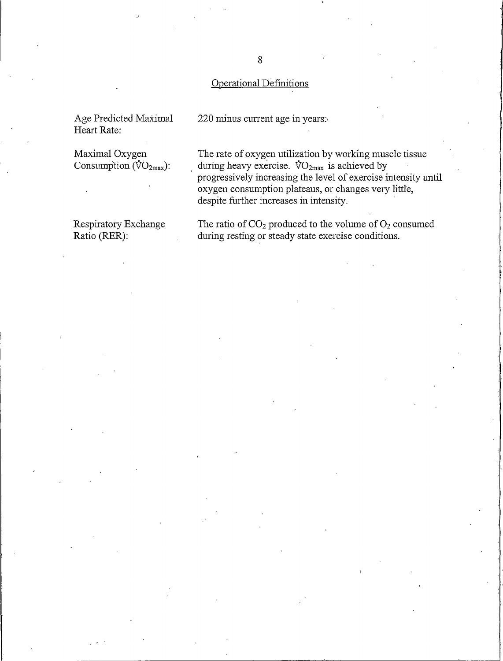# Operational Definitions

Age Predicted Maximal Heart Rate:

Maximal Oxygen Consumption  $(\text{VO}_2)$ :

Respiratory Exchange Ratio (RER):

220 minus current age in years.

The rate of oxygen utilization by working muscle tissue during heavy exercise.  $VO_{2max}$  is achieved by progressively increasing the level of exercise intensity until oxygen consumption plateaus, or changes very little, despite further increases in intensity.

The ratio of  $CO<sub>2</sub>$  produced to the volume of  $O<sub>2</sub>$  consumed during resting or steady state exercise conditions.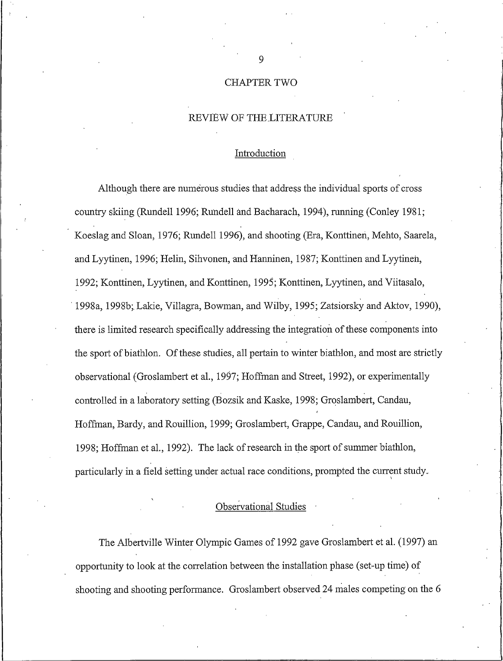# **CHAPTER TWO**

# REVIEW OF THE LITERATURE

# Introduction

Although there are numerous studies that address the individual sports of cross country skiing (Rundell 1996; Rundell and Bacharach, 1994), running (Conley 1981; Koeslag and Sloan, 1976; Rundell 1996), and shooting (Era, Konttinen, Mehto, Saarela, and Lyytinen, 1996; Helin, Sihvonen, and Hanninen, 1987; Konttinen and Lyytinen, 1992; Konttinen, Lyytinen, and Konttinen, 1995; Konttinen, Lyytinen, and Viitasalo, 1998a, 1998b; Lakie, Villagra, Bowman, and Wilby, 1995; Zatsiorsky and Aktov, 1990), there is limited research specifically addressing the integration of these components into the sport of biathlon. Of these studies, all pertain to winter biathlon, and most are strictly observational (Groslambert et al., 1997; Hoffman and Street, 1992), or experimentally controlled in a laboratory setting (Bozsik and Kaske, 1998; Groslambert, Candau, Hoffman, Bardy, and Rouillion, 1999; Groslambert, Grappe, Candau, and Rouillion, 1998: Hoffman et al., 1992). The lack of research in the sport of summer biathlon, particularly in a field setting under actual race conditions, prompted the current study.

# Observational Studies

The Albertyille Winter Olympic Games of 1992 gave Groslambert et al. (1997) an opportunity to look at the correlation between the installation phase (set-up time) of shooting and shooting performance. Groslambert observed 24 males competing on the 6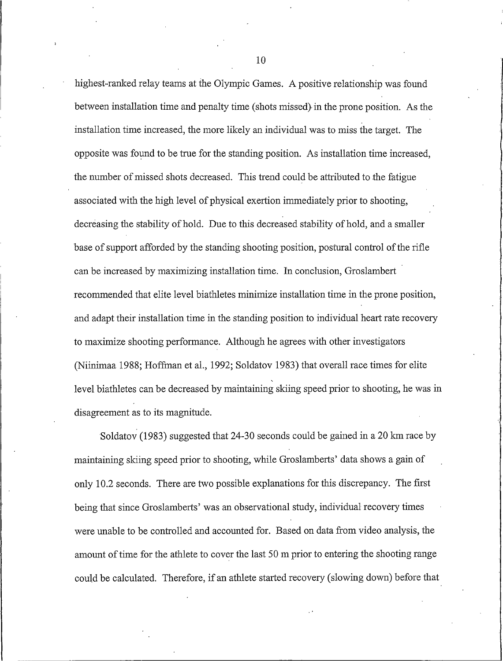highest-ranked relay teams at the Olympic Games. A positive relationship was found between installation time and penalty time (shots missed) in the prone position. As the installation time increased, the more likely an individual was to miss the target. The opposite was found to be true for the standing position. As installation time increased, the number of missed shots decreased. This trend could be attributed to the fatigue associated with the high level of physical exertion immediately prior to shooting, decreasing the stability of hold. Due to this decreased stability of hold, and a smaller base of support afforded by the standing shooting position, postural control of the rifle can be increased by maximizing installation time. In conclusion, Groslambert recommended that elite level biathletes minimize installation time in the prone position, and adapt their installation time in the standing position to individual heart rate recovery to maximize shooting performance. Although he agrees with other investigators (Niinimaa 1988; Hoffman et al., 1992; Soldatov 1983) that overall race times for elite level biathletes can be decreased by maintaining skiing speed prior to shooting, he was in disagreement as to its magnitude.

Soldatov (1983) suggested that 24-30 seconds could be gained in a 20 km race by maintaining skiing speed prior to shooting, while Groslamberts' data shows a gain of only 10.2 seconds. There are two possible explanations for this discrepancy. The first being that since Groslamberts' was an observational study, individual recovery times were unable to be controlled and accounted for. Based on data from video analysis, the amount of time for the athlete to cover the last 50 m prior to entering the shooting range could be calculated. Therefore, if an athlete started recovery (slowing down) before that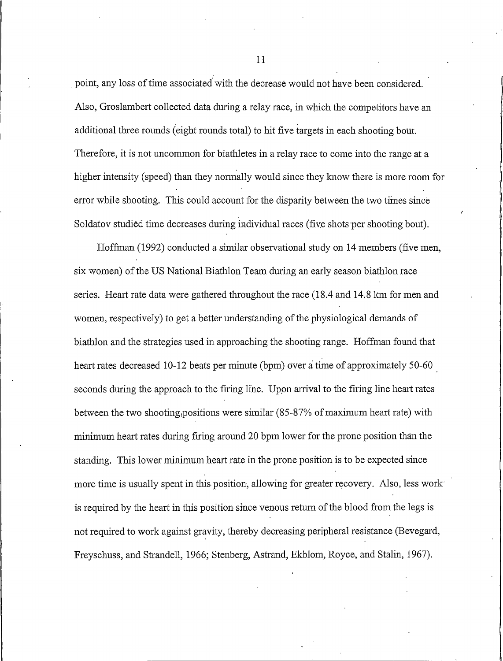point, any loss of time associated with the decrease would not have been considered. Also, Groslambert collected data during a relay race, in which the competitors have an additional three rounds (eight rounds total) to hit five targets in each shooting bout. Therefore, it is not uncommon for biathletes in a relay race to come into the range at a higher intensity (speed) than they normally would since they know there is more room for error while shooting. This could account for the disparity between the two times since Soldatov studied time decreases during individual races (five shots per shooting bout).

Hoffman (1992) conducted a similar observational study on 14 members (five men, six women) of the US National Biathlon Team during an early season biathlon race series. Heart rate data were gathered throughout the race (18.4 and 14.8 km for men and women, respectively) to get a better understanding of the physiological demands of biathlon and the strategies used in approaching the shooting range. Hoffman found that heart rates decreased 10-12 beats per minute (bpm) over a time of approximately 50-60 seconds during the approach to the firing line. Upon arrival to the firing line heart rates between the two shooting positions were similar (85-87% of maximum heart rate) with minimum heart rates during firing around 20 bpm lower for the prone position than the standing. This lower minimum heart rate in the prone position is to be expected since more time is usually spent in this position, allowing for greater recovery. Also, less work is required by the heart in this position since venous return of the blood from the legs is not required to work against gravity, thereby decreasing peripheral resistance (Bevegard, Freyschuss, and Strandell, 1966; Stenberg, Astrand, Ekblom, Royce, and Stalin, 1967).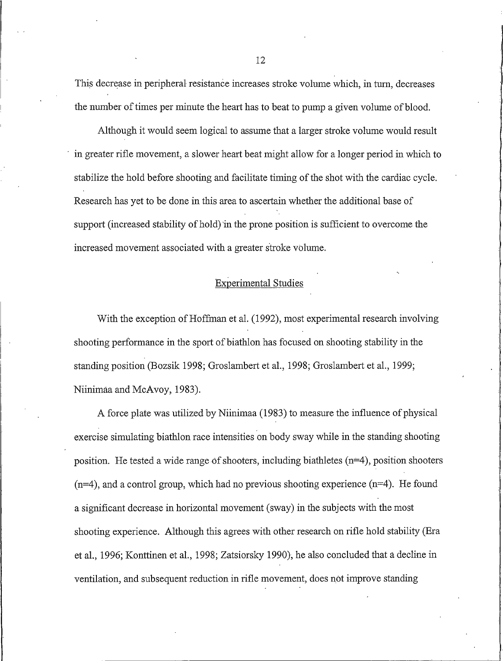This decrease in peripheral resistance increases stroke volume which, in turn, decreases the number of times per minute the heart has to beat to pump a given volume of blood.

Although it would seem logical to assume that a larger stroke volume would result in greater rifle movement, a slower heart beat might allow for a longer period in which to stabilize the hold before shooting and facilitate timing of the shot with the cardiac cycle. Research has yet to be done in this area to ascertain whether the additional base of support (increased stability of hold) in the prone position is sufficient to overcome the increased movement associated with a greater stroke volume.

# **Experimental Studies**

With the exception of Hoffman et al. (1992), most experimental research involving shooting performance in the sport of biathlon has focused on shooting stability in the standing position (Bozsik 1998; Groslambert et al., 1998; Groslambert et al., 1999; Niinimaa and McAvoy, 1983).

A force plate was utilized by Niinimaa (1983) to measure the influence of physical exercise simulating biathlon race intensities on body sway while in the standing shooting position. He tested a wide range of shooters, including biathletes  $(n=4)$ , position shooters  $(n=4)$ , and a control group, which had no previous shooting experience  $(n=4)$ . He found a significant decrease in horizontal movement (sway) in the subjects with the most shooting experience. Although this agrees with other research on rifle hold stability (Era et al., 1996; Konttinen et al., 1998; Zatsiorsky 1990), he also concluded that a decline in ventilation, and subsequent reduction in rifle movement, does not improve standing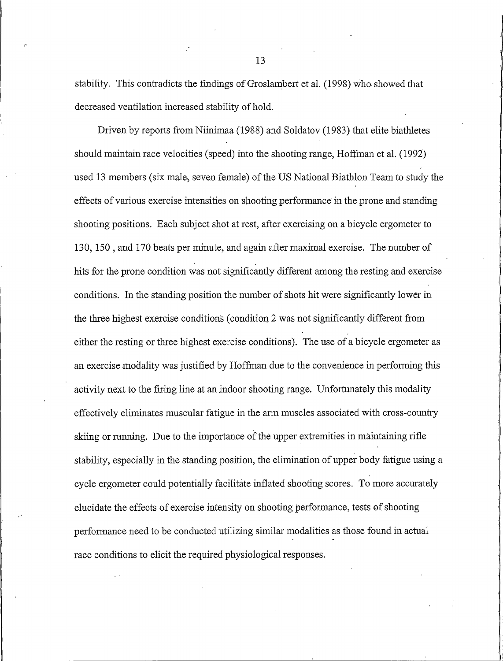stability. This contradicts the findings of Groslambert et al. (1998) who showed that decreased ventilation increased stability of hold.

Driven by reports from Niinimaa (1988) and Soldatov (1983) that elite biathletes should maintain race velocities (speed) into the shooting range, Hoffman et al. (1992) used 13 members (six male, seven female) of the US National Biathlon Team to study the effects of various exercise intensities on shooting performance in the prone and standing shooting positions. Each subject shot at rest, after exercising on a bicycle ergometer to 130, 150, and 170 beats per minute, and again after maximal exercise. The number of hits for the prone condition was not significantly different among the resting and exercise conditions. In the standing position the number of shots hit were significantly lower in the three highest exercise conditions (condition 2 was not significantly different from either the resting or three highest exercise conditions). The use of a bicycle ergometer as an exercise modality was justified by Hoffman due to the convenience in performing this activity next to the firing line at an indoor shooting range. Unfortunately this modality effectively eliminates muscular fatigue in the arm muscles associated with cross-country skiing or running. Due to the importance of the upper extremities in maintaining rifle stability, especially in the standing position, the elimination of upper body fatigue using a cycle ergometer could potentially facilitate inflated shooting scores. To more accurately elucidate the effects of exercise intensity on shooting performance, tests of shooting performance need to be conducted utilizing similar modalities as those found in actual race conditions to elicit the required physiological responses.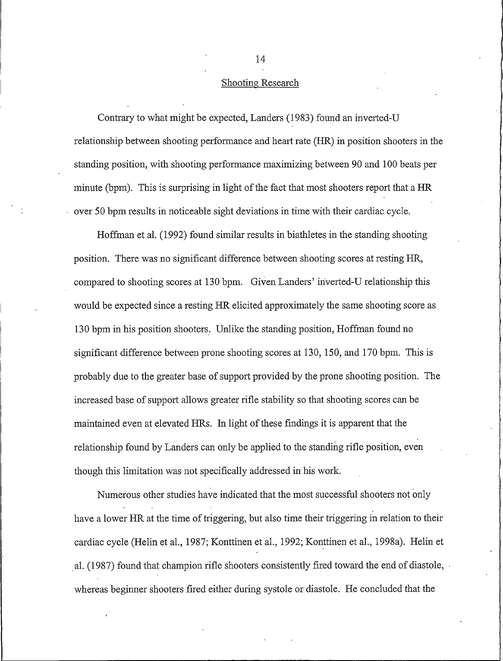#### Shooting Research

Contrary to what might be expected, Landers (1983) found an inverted-U relationship between shooting performance and heart rate (HR) in position shooters in the standing position, with shooting performance maximizing between 90 and 100 beats per minute (bpm). This is surprising in light of the fact that most shooters report that a HR over 50 bpm results in noticeable sight deviations in time with their cardiac cycle.

Hoffman et al. (1992) found similar results in biathletes in the standing shooting position. There was no significant difference between shooting scores at resting HR, compared to shooting scores at 130 bpm. Given Landers' inverted-U relationship this would be expected since a resting HR elicited approximately the same shooting score as 130 bpm in his position shooters. Unlike the standing position, Hoffman found no significant difference between prone shooting scores at 130, 150, and 170 bpm. This is probably due to the greater base of support provided by the prone shooting position. The increased base of support allows greater rifle stability so that shooting scores can be maintained even at elevated HRs. In light of these findings it is apparent that the relationship found by Landers can only be applied to the standing rifle position, even though this limitation was not specifically addressed in his work.

Numerous other studies have indicated that the most successful shooters not only have a lower HR at the time of triggering, but also time their triggering in relation to their cardiac cycle (Helin et al., 1987; Konttinen et al., 1992; Konttinen et al., 1998a). Helin et al. (1987) found that champion rifle shooters consistently fired toward the end of diastole, whereas beginner shooters fired either during systole or diastole. He concluded that the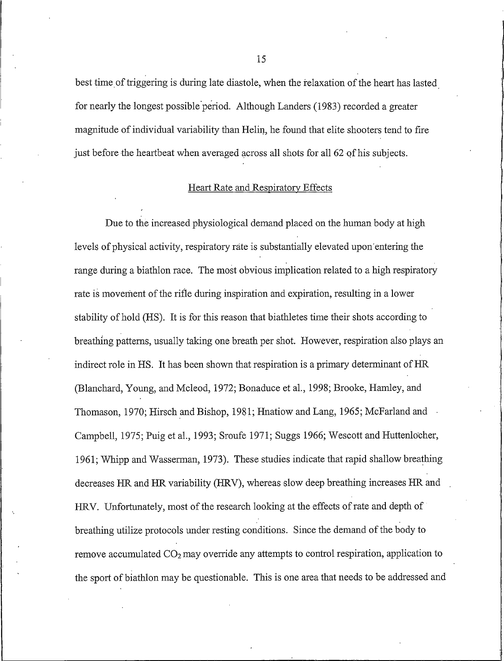best time of triggering is during late diastole, when the relaxation of the heart has lasted for nearly the longest possible period. Although Landers (1983) recorded a greater magnitude of individual variability than Helin, he found that elite shooters tend to fire just before the heartbeat when averaged across all shots for all 62 of his subjects.

# **Heart Rate and Respiratory Effects**

Due to the increased physiological demand placed on the human body at high levels of physical activity, respiratory rate is substantially elevated upon entering the range during a biathlon race. The most obvious implication related to a high respiratory rate is movement of the rifle during inspiration and expiration, resulting in a lower stability of hold (HS). It is for this reason that biathletes time their shots according to breathing patterns, usually taking one breath per shot. However, respiration also plays an indirect role in HS. It has been shown that respiration is a primary determinant of HR (Blanchard, Young, and Mcleod, 1972; Bonaduce et al., 1998; Brooke, Hamley, and Thomason, 1970; Hirsch and Bishop, 1981; Hnatiow and Lang, 1965; McFarland and Campbell, 1975; Puig et al., 1993; Sroufe 1971; Suggs 1966; Wescott and Huttenlocher, 1961; Whipp and Wasserman, 1973). These studies indicate that rapid shallow breathing decreases HR and HR variability (HRV), whereas slow deep breathing increases HR and HRV. Unfortunately, most of the research looking at the effects of rate and depth of breathing utilize protocols under resting conditions. Since the demand of the body to remove accumulated  $CO<sub>2</sub>$  may override any attempts to control respiration, application to the sport of biathlon may be questionable. This is one area that needs to be addressed and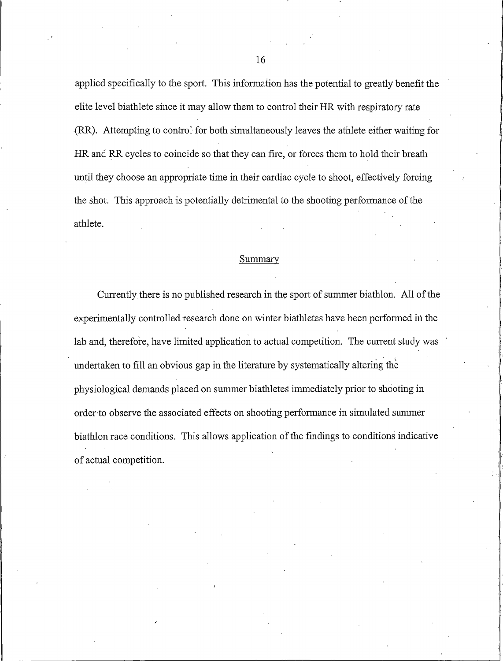applied specifically to the sport. This information has the potential to greatly benefit the elite level biathlete since it may allow them to control their HR with respiratory rate (RR). Attempting to control for both simultaneously leaves the athlete either waiting for HR and RR cycles to coincide so that they can fire, or forces them to hold their breath until they choose an appropriate time in their cardiac cycle to shoot, effectively forcing the shot. This approach is potentially detrimental to the shooting performance of the athlete.

# Summary

Currently there is no published research in the sport of summer biathlon. All of the experimentally controlled research done on winter biathletes have been performed in the lab and, therefore, have limited application to actual competition. The current study was undertaken to fill an obvious gap in the literature by systematically altering the physiological demands placed on summer biathletes immediately prior to shooting in order to observe the associated effects on shooting performance in simulated summer biathlon race conditions. This allows application of the findings to conditions indicative of actual competition.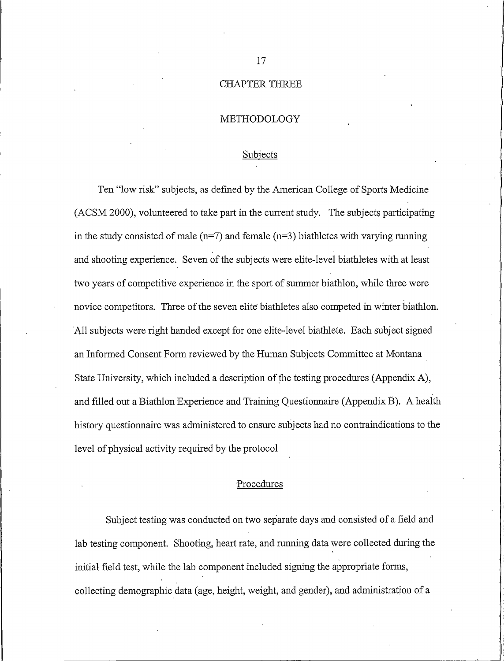### **CHAPTER THREE**

#### METHODOLOGY

#### Subjects

Ten "low risk" subjects, as defined by the American College of Sports Medicine (ACSM 2000), volunteered to take part in the current study. The subjects participating in the study consisted of male  $(n=7)$  and female  $(n=3)$  biathletes with varying running and shooting experience. Seven of the subjects were elite-level biathletes with at least two years of competitive experience in the sport of summer biathlon, while three were novice competitors. Three of the seven elite biathletes also competed in winter biathlon. All subjects were right handed except for one elite-level biathlete. Each subject signed an Informed Consent Form reviewed by the Human Subjects Committee at Montana State University, which included a description of the testing procedures (Appendix A), and filled out a Biathlon Experience and Training Questionnaire (Appendix B). A health history questionnaire was administered to ensure subjects had no contraindications to the level of physical activity required by the protocol

# Procedures

Subject testing was conducted on two separate days and consisted of a field and lab testing component. Shooting, heart rate, and running data were collected during the initial field test, while the lab component included signing the appropriate forms, collecting demographic data (age, height, weight, and gender), and administration of a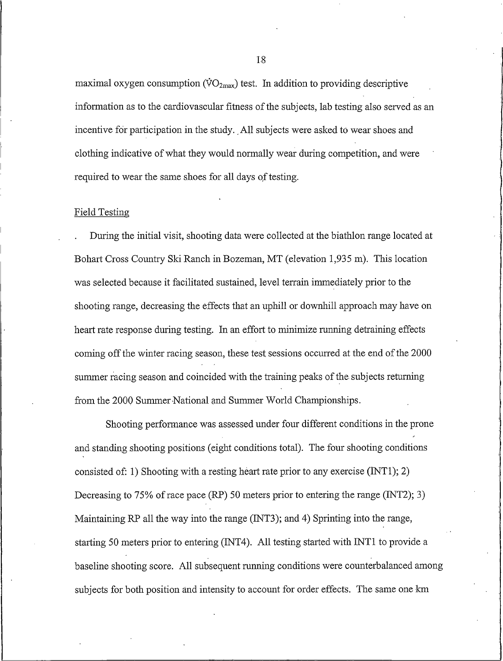maximal oxygen consumption ( $\rm{VO_{2max}}$ ) test. In addition to providing descriptive information as to the cardiovascular fitness of the subjects, lab testing also served as an incentive for participation in the study. All subjects were asked to wear shoes and clothing indicative of what they would normally wear during competition, and were required to wear the same shoes for all days of testing.

#### **Field Testing**

During the initial visit, shooting data were collected at the biathlon range located at Bohart Cross Country Ski Ranch in Bozeman, MT (elevation 1,935 m). This location was selected because it facilitated sustained, level terrain immediately prior to the shooting range, decreasing the effects that an uphill or downhill approach may have on heart rate response during testing. In an effort to minimize running detraining effects coming off the winter racing season, these test sessions occurred at the end of the 2000 summer racing season and coincided with the training peaks of the subjects returning from the 2000 Summer National and Summer World Championships.

Shooting performance was assessed under four different conditions in the prone and standing shooting positions (eight conditions total). The four shooting conditions consisted of: 1) Shooting with a resting heart rate prior to any exercise  $(NT1)$ ; 2) Decreasing to 75% of race pace (RP) 50 meters prior to entering the range (INT2); 3) Maintaining RP all the way into the range (INT3); and 4) Sprinting into the range, starting 50 meters prior to entering (INT4). All testing started with INT1 to provide a baseline shooting score. All subsequent running conditions were counterbalanced among subjects for both position and intensity to account for order effects. The same one km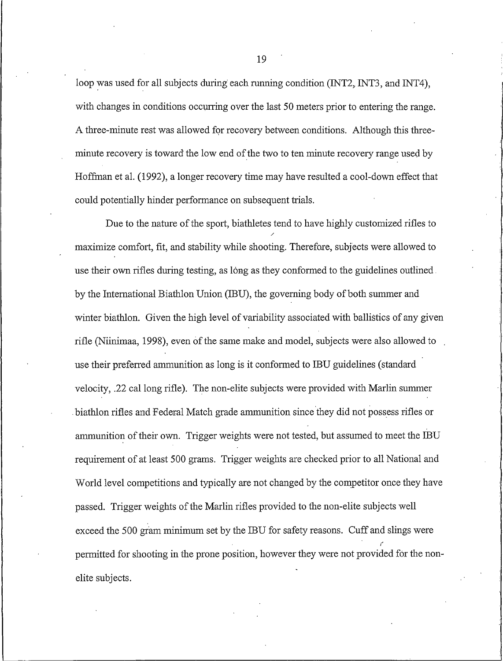loop was used for all subjects during each running condition (INT2, INT3, and INT4), with changes in conditions occurring over the last 50 meters prior to entering the range. A three-minute rest was allowed for recovery between conditions. Although this threeminute recovery is toward the low end of the two to ten minute recovery range used by Hoffman et al. (1992), a longer recovery time may have resulted a cool-down effect that could potentially hinder performance on subsequent trials.

Due to the nature of the sport, biathletes tend to have highly customized rifles to maximize comfort, fit, and stability while shooting. Therefore, subjects were allowed to use their own rifles during testing, as long as they conformed to the guidelines outlined. by the International Biathlon Union (IBU), the governing body of both summer and winter biathlon. Given the high level of variability associated with ballistics of any given rifle (Niinimaa, 1998), even of the same make and model, subjects were also allowed to use their preferred ammunition as long is it conformed to IBU guidelines (standard velocity, .22 cal long rifle). The non-elite subjects were provided with Marlin summer biathlon rifles and Federal Match grade ammunition since they did not possess rifles or ammunition of their own. Trigger weights were not tested, but assumed to meet the IBU requirement of at least 500 grams. Trigger weights are checked prior to all National and World level competitions and typically are not changed by the competitor once they have passed. Trigger weights of the Marlin rifles provided to the non-elite subjects well exceed the 500 gram minimum set by the IBU for safety reasons. Cuff and slings were permitted for shooting in the prone position, however they were not provided for the nonelite subjects.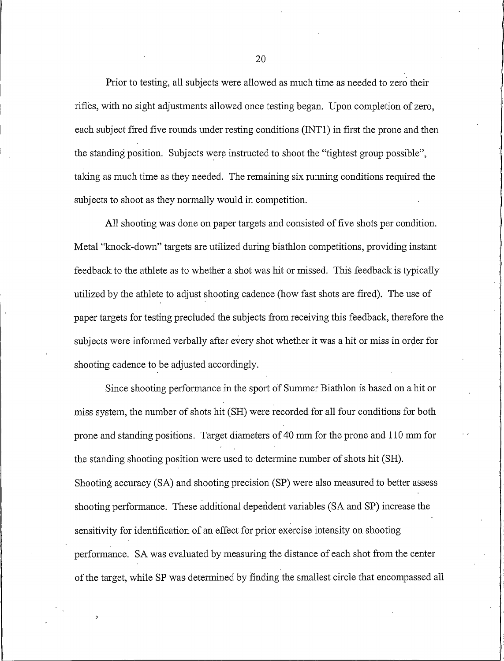Prior to testing, all subjects were allowed as much time as needed to zero their rifles, with no sight adjustments allowed once testing began. Upon completion of zero, each subject fired five rounds under resting conditions (INT1) in first the prone and then the standing position. Subjects were instructed to shoot the "tightest group possible", taking as much time as they needed. The remaining six running conditions required the subjects to shoot as they normally would in competition.

All shooting was done on paper targets and consisted of five shots per condition. Metal "knock-down" targets are utilized during biathlon competitions, providing instant feedback to the athlete as to whether a shot was hit or missed. This feedback is typically utilized by the athlete to adjust shooting cadence (how fast shots are fired). The use of paper targets for testing precluded the subjects from receiving this feedback, therefore the subjects were informed verbally after every shot whether it was a hit or miss in order for shooting cadence to be adjusted accordingly.

Since shooting performance in the sport of Summer Biathlon is based on a hit or miss system, the number of shots hit (SH) were recorded for all four conditions for both prone and standing positions. Target diameters of 40 mm for the prone and 110 mm for the standing shooting position were used to determine number of shots hit (SH). Shooting accuracy (SA) and shooting precision (SP) were also measured to better assess shooting performance. These additional dependent variables (SA and SP) increase the sensitivity for identification of an effect for prior exercise intensity on shooting performance. SA was evaluated by measuring the distance of each shot from the center of the target, while SP was determined by finding the smallest circle that encompassed all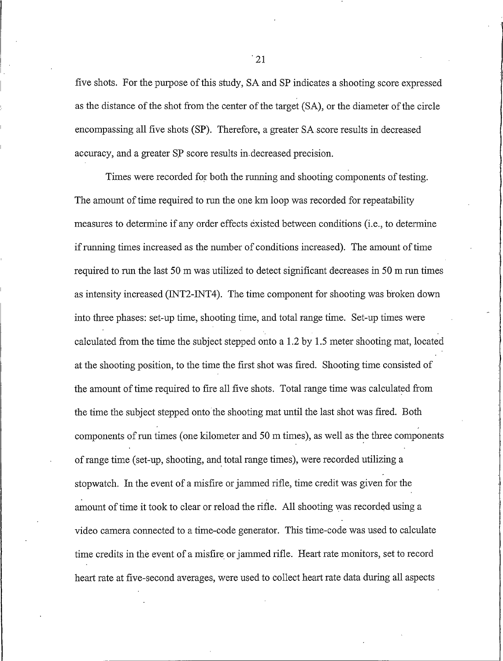five shots. For the purpose of this study, SA and SP indicates a shooting score expressed as the distance of the shot from the center of the target (SA), or the diameter of the circle encompassing all five shots (SP). Therefore, a greater SA score results in decreased accuracy, and a greater SP score results in decreased precision.

Times were recorded for both the running and shooting components of testing. The amount of time required to run the one km loop was recorded for repeatability measures to determine if any order effects existed between conditions (i.e., to determine if running times increased as the number of conditions increased). The amount of time required to run the last 50 m was utilized to detect significant decreases in 50 m run times as intensity increased (INT2-INT4). The time component for shooting was broken down into three phases: set-up time, shooting time, and total range time. Set-up times were calculated from the time the subject stepped onto a 1.2 by 1.5 meter shooting mat, located at the shooting position, to the time the first shot was fired. Shooting time consisted of the amount of time required to fire all five shots. Total range time was calculated from the time the subject stepped onto the shooting mat until the last shot was fired. Both components of run times (one kilometer and 50 m times), as well as the three components of range time (set-up, shooting, and total range times), were recorded utilizing a stopwatch. In the event of a misfire or jammed rifle, time credit was given for the amount of time it took to clear or reload the rifle. All shooting was recorded using a video camera connected to a time-code generator. This time-code was used to calculate time credits in the event of a misfire or jammed rifle. Heart rate monitors, set to record heart rate at five-second averages, were used to collect heart rate data during all aspects

 $\cdot$  21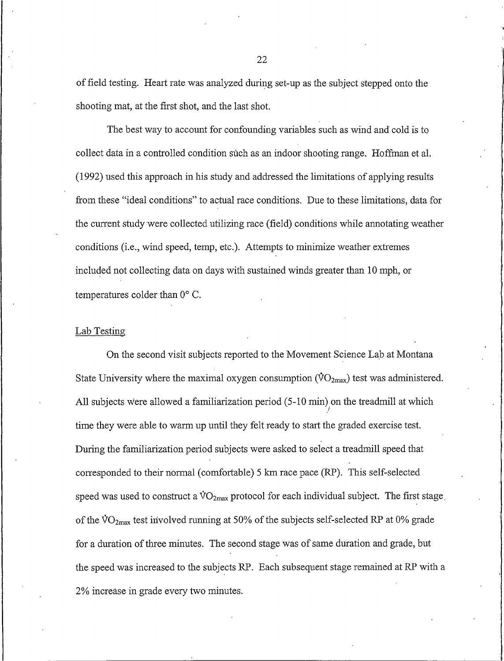of field testing. Heart rate was analyzed during set-up as the subject stepped onto the shooting mat, at the first shot, and the last shot.

The best way to account for confounding variables such as wind and cold is to collect data in a controlled condition such as an indoor shooting range. Hoffman et al. (1992) used this approach in his study and addressed the limitations of applying results from these "ideal conditions" to actual race conditions. Due to these limitations, data for the current study were collected utilizing race (field) conditions while annotating weather conditions (i.e., wind speed, temp, etc.). Attempts to minimize weather extremes included not collecting data on days with sustained winds greater than 10 mph, or temperatures colder than 0° C.

## Lab Testing

On the second visit subjects reported to the Movement Science Lab at Montana State University where the maximal oxygen consumption ( $\rm{VO_{2max}}$ ) test was administered. All subjects were allowed a familiarization period (5-10 min) on the treadmill at which time they were able to warm up until they felt ready to start the graded exercise test. During the familiarization period subjects were asked to select a treadmill speed that corresponded to their normal (comfortable) 5 km race pace (RP). This self-selected speed was used to construct a  $\rm{VO_{2max}}$  protocol for each individual subject. The first stage of the  $\rm{VO_{2max}}$  test involved running at 50% of the subjects self-selected RP at 0% grade for a duration of three minutes. The second stage was of same duration and grade, but the speed was increased to the subjects RP. Each subsequent stage remained at RP with a 2% increase in grade every two minutes.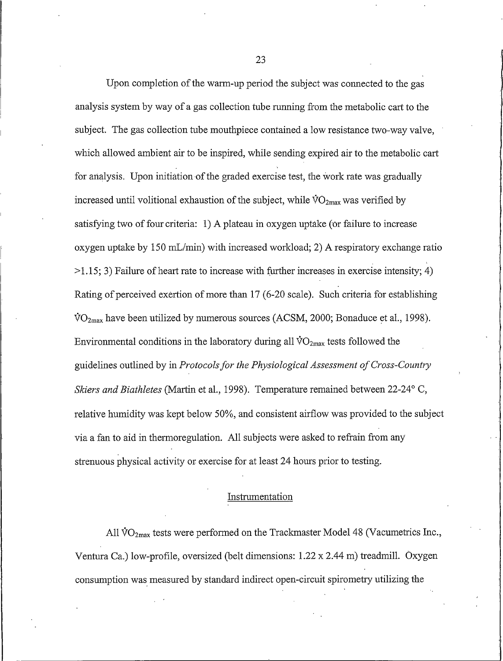Upon completion of the warm-up period the subject was connected to the gas analysis system by way of a gas collection tube running from the metabolic cart to the subject. The gas collection tube mouthpiece contained a low resistance two-way valve. which allowed ambient air to be inspired, while sending expired air to the metabolic cart for analysis. Upon initiation of the graded exercise test, the work rate was gradually increased until volitional exhaustion of the subject, while  $\overline{VO}_{2max}$  was verified by satisfying two of four criteria: 1) A plateau in oxygen uptake (or failure to increase oxygen uptake by 150 mL/min) with increased workload; 2) A respiratory exchange ratio  $>1.15$ ; 3) Failure of heart rate to increase with further increases in exercise intensity; 4) Rating of perceived exertion of more than 17 (6-20 scale). Such criteria for establishing  $\text{VO}_{2\text{max}}$  have been utilized by numerous sources (ACSM, 2000; Bonaduce et al., 1998). Environmental conditions in the laboratory during all  $\dot{V}O_{2max}$  tests followed the guidelines outlined by in Protocols for the Physiological Assessment of Cross-Country Skiers and Biathletes (Martin et al., 1998). Temperature remained between 22-24° C, relative humidity was kept below 50%, and consistent airflow was provided to the subject via a fan to aid in thermoregulation. All subjects were asked to refrain from any strenuous physical activity or exercise for at least 24 hours prior to testing.

# Instrumentation

All VO<sub>2max</sub> tests were performed on the Trackmaster Model 48 (Vacumetrics Inc., Ventura Ca.) low-profile, oversized (belt dimensions:  $1.22 \times 2.44$  m) treadmill. Oxygen consumption was measured by standard indirect open-circuit spirometry utilizing the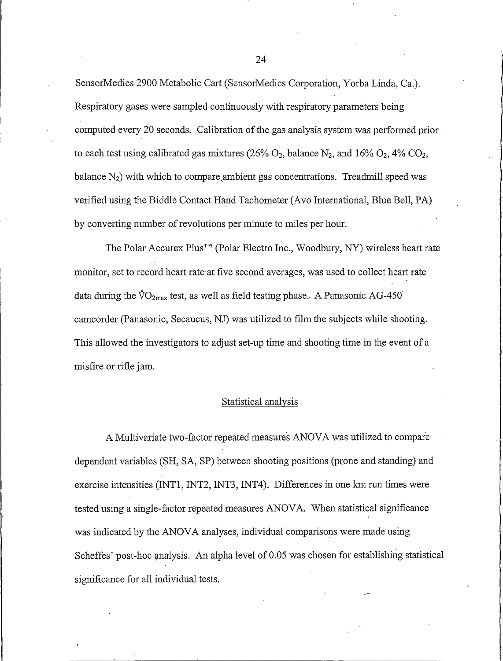SensorMedics 2900 Metabolic Cart (SensorMedics Corporation, Yorba Linda, Ca.). Respiratory gases were sampled continuously with respiratory parameters being computed every 20 seconds. Calibration of the gas analysis system was performed prior. to each test using calibrated gas mixtures (26%  $O_2$ , balance N<sub>2</sub>, and 16%  $O_2$ , 4%  $CO_2$ , balance  $N_2$ ) with which to compare ambient gas concentrations. Treadmill speed was verified using the Biddle Contact Hand Tachometer (Avo International, Blue Bell, PA) by converting number of revolutions per minute to miles per hour.

The Polar Accurex Plus<sup>™</sup> (Polar Electro Inc., Woodbury, NY) wireless heart rate monitor, set to record heart rate at five second averages, was used to collect heart rate data during the  $\rm \dot{VO}_{2max}$  test, as well as field testing phase. A Panasonic AG-450 camcorder (Panasonic, Secaucus, NJ) was utilized to film the subjects while shooting. This allowed the investigators to adjust set-up time and shooting time in the event of a misfire or rifle jam.

# Statistical analysis

A Multivariate two-factor repeated measures ANOVA was utilized to compare dependent variables (SH, SA, SP) between shooting positions (prone and standing) and exercise intensities (INT1, INT2, INT3, INT4). Differences in one km run times were tested using a single-factor repeated measures ANOVA. When statistical significance was indicated by the ANOVA analyses, individual comparisons were made using Scheffes' post-hoc analysis. An alpha level of 0.05 was chosen for establishing statistical significance for all individual tests.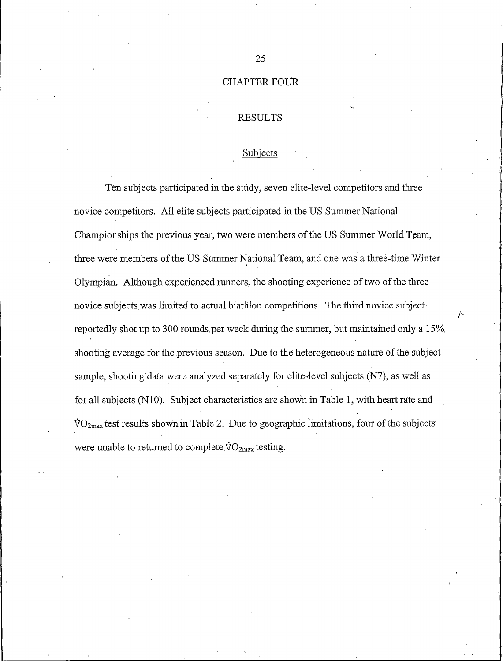# **CHAPTER FOUR**

## **RESULTS**

#### Subjects

Ten subjects participated in the study, seven elite-level competitors and three novice competitors. All elite subjects participated in the US Summer National Championships the previous year, two were members of the US Summer World Team, three were members of the US Summer National Team, and one was a three-time Winter Olympian. Although experienced runners, the shooting experience of two of the three novice subjects was limited to actual biathlon competitions. The third novice subject reportedly shot up to 300 rounds per week during the summer, but maintained only a 15% shooting average for the previous season. Due to the heterogeneous nature of the subject sample, shooting data were analyzed separately for elite-level subjects (N7), as well as for all subjects (N10). Subject characteristics are shown in Table 1, with heart rate and  $\rm{VO_{2max}}$  test results shown in Table 2. Due to geographic limitations, four of the subjects were unable to returned to complete  $\rm{VO_{2max}}$  testing.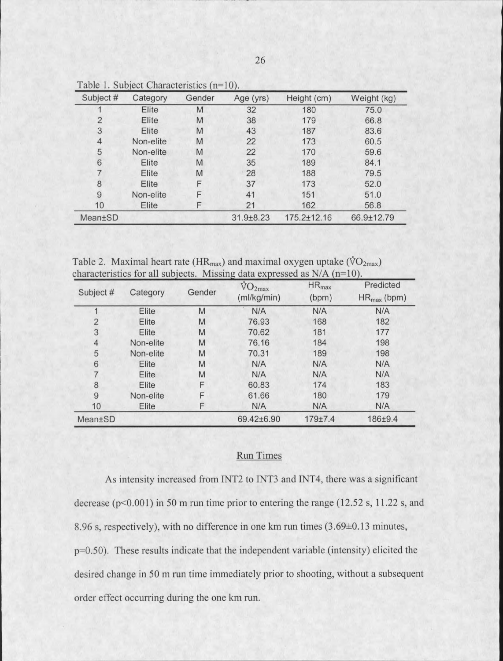| Subject #      | Category  | Gender | Age (yrs) | Height (cm) | Weight (kg) |
|----------------|-----------|--------|-----------|-------------|-------------|
|                | Elite     | M      | 32        | 180         | 75.0        |
| $\overline{2}$ | Elite     | M      | 38        | 179         | 66.8        |
| 3              | Elite     | M      | 43        | 187         | 83.6        |
| 4              | Non-elite | M      | 22        | 173         | 60.5        |
| 5              | Non-elite | M      | 22        | 170         | 59.6        |
| 6              | Elite     | M      | 35        | 189         | 84.1        |
|                | Elite     | M      | 28        | 188         | 79.5        |
| 8              | Elite     | F      | 37        | 173         | 52.0        |
| 9              | Non-elite | F      | 41        | 151         | 51.0        |
| 10             | Elite     | F      | 21        | 162         | 56.8        |
| <b>Mean±SD</b> |           |        | 31.9±8.23 | 175.2±12.16 | 66.9±12.79  |

Table 1. Subject Characteristics (n=10).

Table 2. Maximal heart rate ( $HR_{max}$ ) and maximal oxygen uptake ( $\rm \ddot{VO}_{2max}$ ) characteristics for all subjects. Missing data expressed as  $N/A$  ( $n=10$ ).

|                |           |        | $\rm \dot{V}O_{2max}$ | $HR_{max}$  | Predicted        |
|----------------|-----------|--------|-----------------------|-------------|------------------|
| Subject #      | Category  | Gender | (ml/kg/min)           | (bpm)       | $HR_{max}$ (bpm) |
|                | Elite     | M      | N/A                   | N/A         | N/A              |
| $\overline{2}$ | Elite     | M      | 76.93                 | 168         | 182              |
| 3              | Elite     | M      | 70.62                 | 181         | 177              |
| 4              | Non-elite | M      | 76.16                 | 184         | 198              |
| 5              | Non-elite | M      | 70.31                 | 189         | 198              |
| 6              | Elite     | M      | N/A                   | N/A         | N/A              |
|                | Elite     | M      | N/A                   | N/A         | N/A              |
| 8              | Elite     | F      | 60.83                 | 174         | 183              |
| $\overline{9}$ | Non-elite | F      | 61.66                 | 180         | 179              |
| 10             | Elite     | F      | N/A                   | N/A         | N/A              |
| Mean±SD        |           |        | 69.42±6.90            | $179 + 7.4$ | 186±9.4          |

# **Run Times**

As intensity increased from INT2 to INT3 and INT4, there was a significant decrease ( $p<0.001$ ) in 50 m run time prior to entering the range (12.52 s, 11.22 s, and 8.96 s, respectively), with no difference in one km run times (3.69±0.13 minutes, p=0.50). These results indicate that the independent variable (intensity) elicited the desired change in 50 m run time immediately prior to shooting, without a subsequent order effect occurring during the one km run.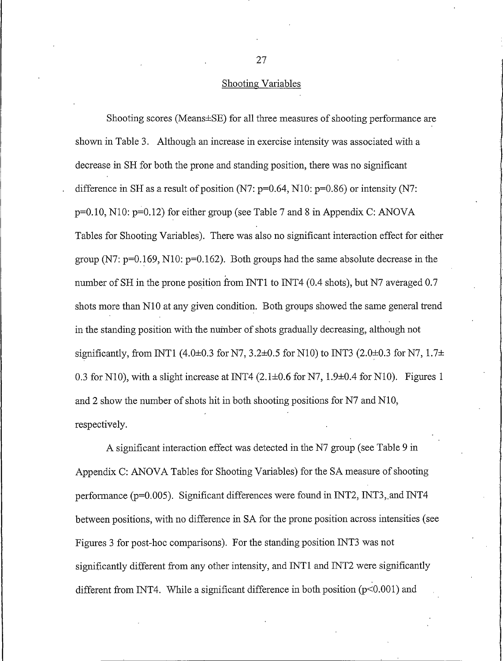## Shooting Variables

Shooting scores (Means±SE) for all three measures of shooting performance are shown in Table 3. Although an increase in exercise intensity was associated with a decrease in SH for both the prone and standing position, there was no significant difference in SH as a result of position (N7:  $p=0.64$ , N10:  $p=0.86$ ) or intensity (N7:  $p=0.10$ , N10:  $p=0.12$ ) for either group (see Table 7 and 8 in Appendix C: ANOVA Tables for Shooting Variables). There was also no significant interaction effect for either group (N7:  $p=0.169$ , N10:  $p=0.162$ ). Both groups had the same absolute decrease in the number of SH in the prone position from INT1 to INT4 (0.4 shots), but N7 averaged 0.7 shots more than N10 at any given condition. Both groups showed the same general trend in the standing position with the number of shots gradually decreasing, although not significantly, from INT1 (4.0±0.3 for N7, 3.2±0.5 for N10) to INT3 (2.0±0.3 for N7, 1.7± 0.3 for N10), with a slight increase at INT4 (2.1 $\pm$ 0.6 for N7, 1.9 $\pm$ 0.4 for N10). Figures 1 and 2 show the number of shots hit in both shooting positions for N7 and N10, respectively.

A significant interaction effect was detected in the N7 group (see Table 9 in Appendix C: ANOVA Tables for Shooting Variables) for the SA measure of shooting performance (p=0.005). Significant differences were found in INT2, INT3, and INT4 between positions, with no difference in SA for the prone position across intensities (see Figures 3 for post-hoc comparisons). For the standing position INT3 was not significantly different from any other intensity, and INT1 and INT2 were significantly different from INT4. While a significant difference in both position ( $p<0.001$ ) and